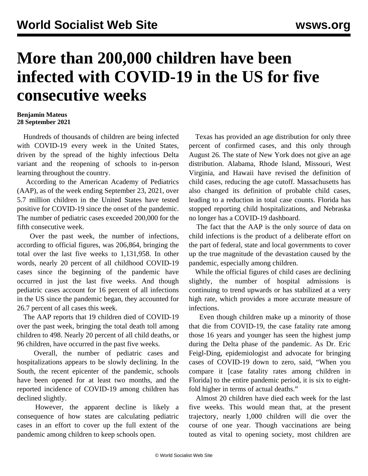## **More than 200,000 children have been infected with COVID-19 in the US for five consecutive weeks**

## **Benjamin Mateus 28 September 2021**

 Hundreds of thousands of children are being infected with COVID-19 every week in the United States, driven by the spread of the highly infectious Delta variant and the reopening of schools to in-person learning throughout the country.

 According to the American Academy of Pediatrics (AAP), as of the week ending September 23, 2021, over 5.7 million children in the United States have tested positive for COVID-19 since the onset of the pandemic. The number of pediatric cases exceeded 200,000 for the fifth consecutive week.

 Over the past week, the number of infections, according to official figures, was 206,864, bringing the total over the last five weeks to 1,131,958. In other words, nearly 20 percent of all childhood COVID-19 cases since the beginning of the pandemic have occurred in just the last five weeks. And though pediatric cases account for 16 percent of all infections in the US since the pandemic began, they accounted for 26.7 percent of all cases this week.

 The AAP reports that 19 children died of COVID-19 over the past week, bringing the total death toll among children to 498. Nearly 20 percent of all child deaths, or 96 children, have occurred in the past five weeks.

 Overall, the number of pediatric cases and hospitalizations appears to be slowly declining. In the South, the recent epicenter of the pandemic, schools have been opened for at least two months, and the reported incidence of COVID-19 among children has declined slightly.

 However, the apparent decline is likely a consequence of how states are calculating pediatric cases in an effort to cover up the full extent of the pandemic among children to keep schools open.

 Texas has provided an age distribution for only three percent of confirmed cases, and this only through August 26. The state of New York does not give an age distribution. Alabama, Rhode Island, Missouri, West Virginia, and Hawaii have revised the definition of child cases, reducing the age cutoff. Massachusetts has also changed its definition of probable child cases, leading to a reduction in total case counts. Florida has stopped reporting child hospitalizations, and Nebraska no longer has a COVID-19 dashboard.

 The fact that the AAP is the only source of data on child infections is the product of a deliberate effort on the part of federal, state and local governments to cover up the true magnitude of the devastation caused by the pandemic, especially among children.

 While the official figures of child cases are declining slightly, the number of hospital admissions is continuing to trend upwards or has stabilized at a very high rate, which provides a more accurate measure of infections.

 Even though children make up a minority of those that die from COVID-19, the case fatality rate among those 16 years and younger has seen the highest jump during the Delta phase of the pandemic. As Dr. Eric Feigl-Ding, epidemiologist and advocate for bringing cases of COVID-19 down to zero, [said](/en/articles/2021/09/27/eric-s27.html), "When you compare it [case fatality rates among children in Florida] to the entire pandemic period, it is six to eightfold higher in terms of actual deaths."

 Almost 20 children have died each week for the last five weeks. This would mean that, at the present trajectory, nearly 1,000 children will die over the course of one year. Though vaccinations are being touted as vital to opening society, most children are